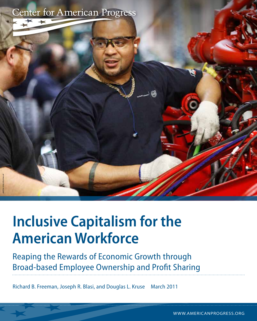

# **Inclusive Capitalism for the American Workforce**

Reaping the Rewards of Economic Growth through Broad-based Employee Ownership and Profit Sharing

Richard B. Freeman, Joseph R. Blasi, and Douglas L. Kruse March 2011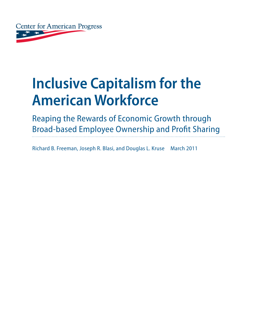

# **Inclusive Capitalism for the American Workforce**

Reaping the Rewards of Economic Growth through Broad-based Employee Ownership and Profit Sharing

Richard B. Freeman, Joseph R. Blasi, and Douglas L. Kruse March 2011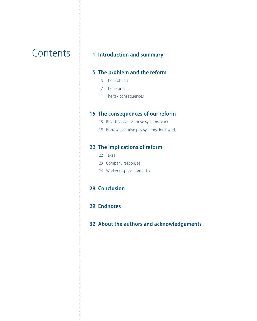# Contents

### **[Introduction and summary](#page-6-0)**

#### **[The problem and the reform](#page-10-0)**

- [The problem](#page-10-0)
- [The reform](#page-12-0)
- [The tax consequences](#page-16-0)

#### **[The consequences of our reform](#page-20-0)**

- [Broad-based incentive systems work](#page-20-0)
- [Narrow incentive pay systems don't work](#page-23-0)

#### **[The implications of reform](#page-27-0)**

- [Taxes](#page-27-0)
- [Company responses](#page-28-0)
- [Worker responses and risk](#page-31-0)

#### **[Conclusion](#page-33-0)**

- **[Endnotes](#page-34-0)**
- **[About the authors](#page-37-0) and a[cknowledgements](#page-37-0)**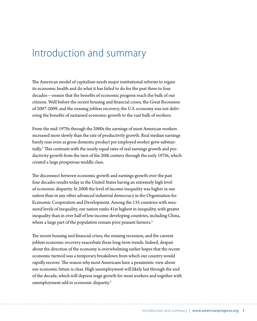### <span id="page-6-0"></span>Introduction and summary

The American model of capitalism needs major institutional reforms to regain its economic health and do what it has failed to do for the past three to four decades—ensure that the benefits of economic progress reach the bulk of our citizens. Well before the recent housing and financial crises, the Great Recession of 2007-2009, and the ensuing jobless recovery, the U.S. economy was not delivering the benefits of sustained economic growth to the vast bulk of workers.

From the mid-1970s through the 2000s the earnings of most American workers increased more slowly than the rate of productivity growth. Real median earnings barely rose even as gross domestic product per employed worker grew substantially.<sup>1</sup> This contrasts with the nearly equal rates of real earnings growth and productivity growth from the turn of the 20th century through the early 1970s, which created a large prosperous middle class.

The disconnect between economic growth and earnings growth over the past four decades results today in the United States having an extremely high level of economic disparity. In 2008 the level of income inequality was higher in our nation than in any other advanced industrial democracy in the Organisation for Economic Cooperation and Development. Among the 135 countries with measured levels of inequality, our nation ranks 41st highest in inequality, with greater inequality than in over half of low-income developing countries, including China, where a large part of the population remain poor peasant farmers.<sup>2</sup>

The recent housing and financial crises, the ensuing recession, and the current jobless economic recovery exacerbate these long-term trends. Indeed, despair about the direction of the economy is overwhelming earlier hopes that the recent economic turmoil was a temporary breakdown from which our country would rapidly recover. The reason why most Americans have a pessimistic view about our economic future is clear. High unemployment will likely last through the end of the decade, which will depress wage growth for most workers and together with unemployment add to economic disparity.3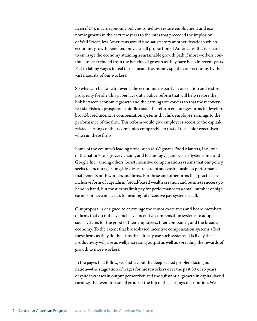Even if U.S. macroeconomic policies somehow restore employment and economic growth in the next few years to the rates that preceded the implosion of Wall Street, few Americans would find satisfactory another decade in which economic growth benefited only a small proportion of Americans. But it is hard to envisage the economy attaining a sustainable growth path if most workers continue to be excluded from the benefits of growth as they have been in recent years. Flat to falling wages in real terms means less money spent in our economy by the vast majority of our workers.

So what can be done to reverse the economic disparity in our nation and restore prosperity for all? This paper lays out a policy reform that will help restore the link between economic growth and the earnings of workers so that the recovery re-establishes a prosperous middle class. The reform encourages firms to develop broad-based incentive compensation systems that link employee earnings to the performance of the firm. This reform would give employees access to the capitalrelated earnings of their companies comparable to that of the senior executives who run these firms.

Some of the country's leading firms, such as Wegmans Food Markets, Inc., one of the nation's top grocery chains, and technology giants Cisco Systems Inc. and Google Inc., among others, boast incentive compensation systems that our policy seeks to encourage alongside a track record of successful business performance that benefits both workers and firms. For these and other firms that practice an inclusive form of capitalism, broad-based wealth creation and business success go hand in hand, but most firms limit pay for performance to a small number of high earners or have no access to meaningful incentive pay systems at all.

Our proposal is designed to encourage the senior executives and board members of firms that do not have inclusive incentive compensation systems to adopt such systems for the good of their employees, their companies, and the broader economy. To the extent that broad-based incentive compensation systems affect these firms as they do the firms that already use such systems, it is likely that productivity will rise as well, increasing output as well as spreading the rewards of growth to more workers.

In the pages that follow, we first lay out the deep-seated problem facing our nation—the stagnation of wages for most workers over the past 30 or so years despite increases in output per worker, and the substantial growth in capital-based earnings that went to a small group at the top of the earnings distribution. We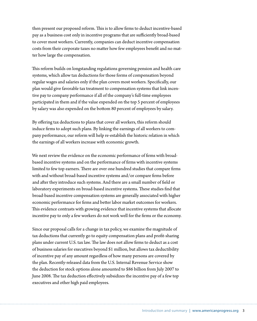then present our proposed reform. This is to allow firms to deduct incentive-based pay as a business cost only in incentive programs that are sufficiently broad-based to cover most workers. Currently, companies can deduct incentive compensation costs from their corporate taxes no matter how few employees benefit and no matter how large the compensation.

This reform builds on longstanding regulations governing pension and health care systems, which allow tax deductions for those forms of compensation beyond regular wages and salaries only if the plan covers most workers. Specifically, our plan would give favorable tax treatment to compensation systems that link incentive pay to company performance if all of the company's full-time employees participated in them and if the value expended on the top 5 percent of employees by salary was also expended on the bottom 80 percent of employees by salary.

By offering tax deductions to plans that cover all workers, this reform should induce firms to adopt such plans. By linking the earnings of all workers to company performance, our reform will help re-establish the historic relation in which the earnings of all workers increase with economic growth.

We next review the evidence on the economic performance of firms with broadbased incentive systems and on the performance of firms with incentive systems limited to few top earners. There are over one hundred studies that compare firms with and without broad-based incentive systems and/or compare firms before and after they introduce such systems. And there are a small number of field or laboratory experiments on broad-based incentive systems. These studies find that broad-based incentive compensation systems are generally associated with higher economic performance for firms and better labor market outcomes for workers. This evidence contrasts with growing evidence that incentive systems that allocate incentive pay to only a few workers do not work well for the firms or the economy.

Since our proposal calls for a change in tax policy, we examine the magnitude of tax deductions that currently go to equity compensation plans and profit-sharing plans under current U.S. tax law. The law does not allow firms to deduct as a cost of business salaries for executives beyond \$1 million, but allows tax deductibility of incentive pay of any amount regardless of how many persons are covered by the plan. Recently-released data from the U.S. Internal Revenue Service show the deduction for stock options alone amounted to \$86 billion from July 2007 to June 2008. The tax deduction effectively subsidizes the incentive pay of a few top executives and other high paid employees.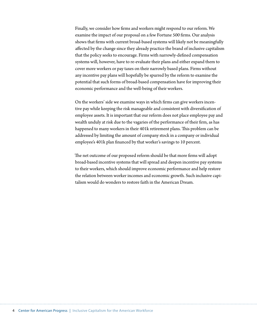Finally, we consider how firms and workers might respond to our reform. We examine the impact of our proposal on a few Fortune 500 firms. Our analysis shows that firms with current broad-based systems will likely not be meaningfully affected by the change since they already practice the brand of inclusive capitalism that the policy seeks to encourage. Firms with narrowly-defined compensation systems will, however, have to re-evaluate their plans and either expand them to cover more workers or pay taxes on their narrowly based plans. Firms without any incentive pay plans will hopefully be spurred by the reform to examine the potential that such forms of broad-based compensation have for improving their economic performance and the well-being of their workers.

On the workers' side we examine ways in which firms can give workers incentive pay while keeping the risk manageable and consistent with diversification of employee assets. It is important that our reform does not place employee pay and wealth unduly at risk due to the vagaries of the performance of their firm, as has happened to many workers in their 401k retirement plans. This problem can be addressed by limiting the amount of company stock in a company or individual employee's 401k plan financed by that worker's savings to 10 percent.

The net outcome of our proposed reform should be that more firms will adopt broad-based incentive systems that will spread and deepen incentive pay systems to their workers, which should improve economic performance and help restore the relation between worker incomes and economic growth. Such inclusive capitalism would do wonders to restore faith in the American Dream.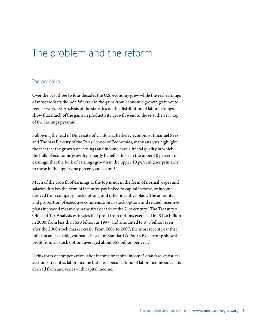# <span id="page-10-0"></span>The problem and the reform

### The problem

Over the past three to four decades the U.S. economy grew while the real earnings of most workers did not. Where did the gains from economic growth go if not to regular workers? Analysis of the statistics on the distribution of labor earnings show that much of the gains in productivity growth went to those at the very top of the earnings pyramid.

Following the lead of University of California Berkeley economist Emanuel Saez and Thomas Picketty of the Paris School of Economics, many analysts highlight the fact that the growth of earnings and income have a fractal quality in which the bulk of economic growth primarily benefits those in the upper 10 percent of earnings, that the bulk of earnings growth in the upper 10 percent goes primarily to those in the upper one percent, and so on.<sup>4</sup>

Much of the growth of earnings at the top is not in the form of normal wages and salaries. It takes the form of incentive pay linked to capital income, or income derived from company stock options, and other incentive plans. The amounts and proportion of executive compensation in stock options and related incentive plans increased massively in the first decade of the 21st century.<sup>5</sup> The Treasury's Office of Tax Analysis estimates that profit from options exercised hit \$126 billion in 2000, from less than \$50 billion in 1997, and amounted to \$78 billion even after the 2000 stock market crash. From 2001 to 2007, the most recent year that full data are available, estimates based on Standard & Poor's Execucomp show that profit from all stock options averaged about \$58 billion per year.<sup>6</sup>

Is this form of compensation labor income or capital income? Standard statistical accounts treat it as labor income but it is a peculiar kind of labor income since it is derived from and varies with capital income.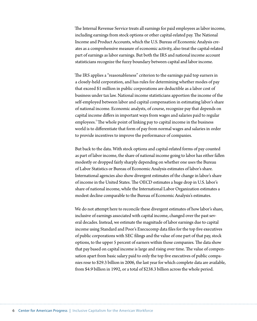The Internal Revenue Service treats all earnings for paid employees as labor income, including earnings from stock options or other capital-related pay. The National Income and Product Accounts, which the U.S. Bureau of Economic Analysis creates as a comprehensive measure of economic activity, also treat the capital-related part of earnings as labor earnings. But both the IRS and national income account statisticians recognize the fuzzy boundary between capital and labor income.

The IRS applies a "reasonableness" criterion to the earnings paid top earners in a closely-held corporation, and has rules for determining whether modes of pay that exceed \$1 million in public corporations are deductible as a labor cost of business under tax law. National income statisticians apportion the income of the self-employed between labor and capital compensation in estimating labor's share of national income. Economic analysts, of course, recognize pay that depends on capital income differs in important ways from wages and salaries paid to regular employees.<sup>7</sup> The whole point of linking pay to capital income in the business world is to differentiate that form of pay from normal wages and salaries in order to provide incentives to improve the performance of companies.

But back to the data. With stock options and capital-related forms of pay counted as part of labor income, the share of national income going to labor has either fallen modestly or dropped fairly sharply depending on whether one uses the Bureau of Labor Statistics or Bureau of Economic Analysis estimates of labor's share. International agencies also show divergent estimates of the change in labor's share of income in the United States. The OECD estimates a huge drop in U.S. labor's share of national income, while the International Labor Organization estimates a modest decline comparable to the Bureau of Economic Analysis's estimates.

We do not attempt here to reconcile these divergent estimates of how labor's share, inclusive of earnings associated with capital income, changed over the past several decades. Instead, we estimate the magnitude of labor earnings due to capital income using Standard and Poor's Execucomp data files for the top five executives of public corporations with SEC #lings and the value of one part of that pay, stock options, to the upper 5 percent of earners within those companies. The data show that pay based on capital income is large and rising over time. The value of compensation apart from basic salary paid to only the top five executives of public companies rose to \$29.3 billion in 2006, the last year for which complete data are available, from \$4.9 billion in 1992, or a total of \$238.3 billion across the whole period.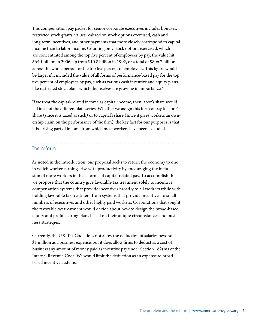<span id="page-12-0"></span>This compensation pay packet for senior corporate executives includes bonuses, restricted stock grants, values realized on stock options exercised, cash and long-term incentives, and other payments that more closely correspond to capital income than to labor income. Counting only stock options exercised, which are concentrated among the top five percent of employees by pay, the value hit \$65.1 billion in 2006, up from \$10.8 billion in 1992, or a total of \$806.7 billion across the whole period for the top five percent of employees. This figure would be larger if it included the value of all forms of performance-based pay for the top five percent of employees by pay, such as various cash incentive and equity plans like restricted stock plans which themselves are growing in importance.<sup>8</sup>

If we treat the capital-related income as capital income, then labor's share would fall in all of the different data series. Whether we assign this form of pay to labor's share (since it is taxed as such) or to capital's share (since it gives workers an ownership claim on the performance of the firm), the key fact for our purposes is that it is a rising part of income from which most workers have been excluded.

#### The reform

As noted in the introduction, our proposal seeks to return the economy to one in which worker earnings rise with productivity by encouraging the inclusion of more workers in these forms of capital-related pay. To accomplish this we propose that the country give favorable tax treatment solely to incentive compensation systems that provide incentives broadly to all workers while withholding favorable tax treatment from systems that provide incentives to small numbers of executives and other highly paid workers. Corporations that sought the favorable tax treatment would decide about how to design the broad-based equity and profit sharing plans based on their unique circumstances and business strategies.

Currently, the U.S. Tax Code does not allow the deduction of salaries beyond \$1 million as a business expense, but it does allow firms to deduct as a cost of business any amount of money paid as incentive pay under Section 162(m) of the Internal Revenue Code. We would limit the deduction as an expense to broadbased incentive systems.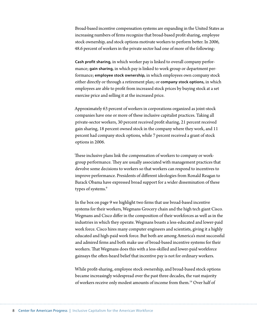Broad-based incentive compensation systems are expanding in the United States as increasing numbers of firms recognize that broad-based profit sharing, employee stock ownership, and stock options motivate workers to perform better. In 2006, 48.6 percent of workers in the private sector had one of more of the following:

**Cash profit sharing,** in which worker pay is linked to overall company performance; **gain sharing,** in which pay is linked to work group or department performance; **employee stock ownership,** in which employees own company stock either directly or through a retirement plan; or **company stock options,** in which employees are able to profit from increased stock prices by buying stock at a set exercise price and selling it at the increased price.

Approximately 63 percent of workers in corporations organized as joint-stock companies have one or more of these inclusive capitalist practices. Taking all private-sector workers, 30 percent received profit sharing, 21 percent received gain sharing, 18 percent owned stock in the company where they work, and 11 percent had company stock options, while 7 percent received a grant of stock options in 2006.

These inclusive plans link the compensation of workers to company or workgroup performance. They are usually associated with management practices that devolve some decisions to workers so that workers can respond to incentives to improve performance. Presidents of different ideologies from Ronald Reagan to Barack Obama have expressed broad support for a wider dissemination of these types of systems.<sup>9</sup>

In the box on page 9 we highlight two firms that use broad-based incentive systems for their workers, Wegmans Grocery chain and the high tech giant Cisco. Wegmans and Cisco differ in the composition of their workforces as well as in the industries in which they operate. Wegmans boasts a less-educated and lower-paid work force. Cisco hires many computer engineers and scientists, giving it a highly educated and high-paid work force. But both are among America's most successful and admired firms and both make use of broad-based incentive systems for their workers. That Wegmans does this with a less-skilled and lower-paid workforce gainsays the often-heard belief that incentive pay is not for ordinary workers.

While profit-sharing, employee stock ownership, and broad-based stock options became increasingly widespread over the past three decades, the vast majority of workers receive only modest amounts of income from them.<sup>14</sup> Over half of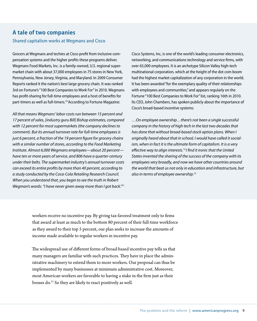### **A tale of two companies**

#### Shared capitalism works at Wegmans and Cisco

Grocers at Wegmans and techies at Cisco profit from inclusive compensation systems and the higher profits these programs deliver. Wegmans Food Markets, Inc. is a family-owned, U.S. regional supermarket chain with about 37,000 employees in 75 stores in New York, Pennsylvania, New Jersey, Virginia, and Maryland. In 2009 Consumer Reports ranked it the nation's best large grocery chain. It was ranked 3rd on Fortune's "100 Best Companies to Work For" in 2010. Wegmans has profit-sharing for full-time employees and a host of benefits for part-timers as well as full-timers.<sup>10</sup> According to Fortune Magazine:

All that means Wegmans' labor costs run between 15 percent and 17 percent of sales, [industry guru Bill] Bishop estimates, compared with 12 percent for most supermarkets (the company declines to comment). But its annual turnover rate for full-time employees is just 6 percent, a fraction of the 19 percent figure for grocery chains with a similar number of stores, according to the Food Marketing Institute. Almost 6,000 Wegmans employees—about 20 percent have ten or more years of service, and 806 have a quarter-century under their belts. The supermarket industry's annual turnover costs can exceed its entire profits by more than 40 percent, according to a study conducted by the Coca-Cola Retailing Research Council. When you understand that, you begin to see the truth in Robert Wegman's words: "I have never given away more than I got back." $11$ 

Cisco Systems, Inc, is one of the world's leading consumer electronics, networking, and communications technology and service firms, with over 65,000 employees. It is an archetype Silicon Valley high-tech multinational corporation, which at the height of the dot com boom had the highest market capitalization of any corporation in the world. It has been awarded "for the exemplary quality of their relationships with employees and communities," and appears regularly on the Fortune "100 Best Companies to Work For" list, ranking 16th in 2010. Its CEO, John Chambers, has spoken publicly about the importance of Cisco's broad-based incentive systems:

…On employee ownership…there's not been a single successful company in the history of high tech in the last two decades that has done that without broad-based stock option plans. When I originally heard about that in school, I would have called it socialism, when in fact it is the ultimate form of capitalism. It is a very effective way to align interests.<sup>12</sup> I find it ironic that the United States invented the sharing of the success of the company with its employees very broadly, and now we have other countries around the world that beat us not only in education and infrastructure, but also in terms of employee ownership.<sup>13</sup>

workers receive no incentive pay. By giving tax-favored treatment only to firms that award at least as much to the bottom 80 percent of their full-time workforce as they award to their top 5 percent, our plan seeks to increase the amounts of income made available to regular workers in incentive pay.

The widespread use of different forms of broad-based incentive pay tells us that many managers are familiar with such practices. They have in place the administrative machinery to extend them to more workers. Our proposal can thus be implemented by many businesses at minimum administrative cost. Moreover, most American workers are favorable to having a stake in the firm just as their bosses do.15 So they are likely to react positively as well.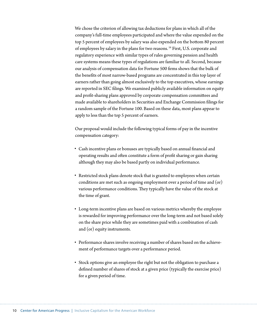We chose the criterion of allowing tax deductions for plans in which all of the company's full-time employees participated and where the value expended on the top 5 percent of employees by salary was also expended on the bottom 80 percent of employees by salary in the plans for two reasons.<sup>16</sup> First, U.S. corporate and regulatory experience with similar types of rules governing pension and health care systems means these types of regulations are familiar to all. Second, because our analysis of compensation data for Fortune 500 firms shows that the bulk of the benefits of most narrow-based programs are concentrated in this top layer of earners rather than going almost exclusively to the top executives, whose earnings are reported in SEC filings. We examined publicly available information on equity and profit-sharing plans approved by corporate compensation committees and made available to shareholders in Securities and Exchange Commission filings for a random sample of the Fortune 100. Based on these data, most plans appear to apply to less than the top 5 percent of earners.

Our proposal would include the following typical forms of pay in the incentive compensation category:

- Cash incentive plans or bonuses are typically based on annual financial and operating results and often constitute a form of profit sharing or gain sharing although they may also be based partly on individual performance.
- Restricted stock plans denote stock that is granted to employees when certain conditions are met such as ongoing employment over a period of time and (or) various performance conditions. They typically have the value of the stock at the time of grant.
- r Long-term incentive plans are based on various metrics whereby the employee is rewarded for improving performance over the long-term and not based solely on the share price while they are sometimes paid with a combination of cash and (or) equity instruments.
- r Performance shares involve receiving a number of shares based on the achievement of performance targets over a performance period.
- r Stock options give an employee the right but not the obligation to purchase a defined number of shares of stock at a given price (typically the exercise price) for a given period of time.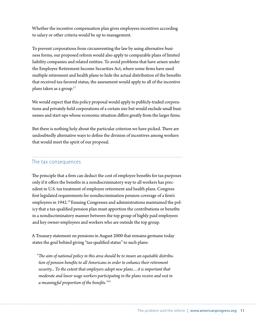<span id="page-16-0"></span>Whether the incentive compensation plan gives employees incentives according to salary or other criteria would be up to management.

To prevent corporations from circumventing the law by using alternative business forms, our proposed reform would also apply to comparable plans of limited liability companies and related entities. To avoid problems that have arisen under the Employee Retirement Income Securities Act, where some firms have used multiple retirement and health plans to hide the actual distribution of the benefits that received tax-favored status, the assessment would apply to all of the incentive plans taken as a group.17

We would expect that this policy proposal would apply to publicly-traded corporations and privately-held corporations of a certain size but would exclude small businesses and start-ups whose economic situation differs greatly from the larger firms.

But there is nothing holy about the particular criterion we have picked. There are undoubtedly alternative ways to define the division of incentives among workers that would meet the spirit of our proposal.

### The tax consequences

The principle that a firm can deduct the cost of employee benefits for tax purposes only if it offers the benefits in a nondiscriminatory way to all workers has precedent in U.S. tax treatment of employee retirement and health plans. Congress first legislated requirements for nondiscrimination pension coverage of a firm's employees in 1942.<sup>18</sup> Ensuing Congresses and administrations maintained the policy that a tax-qualified pension plan must apportion the contributions or benefits in a nondiscriminatory manner between the top group of highly paid employees and key owner-employees and workers who are outside the top group.

A Treasury statement on pensions in August 2000 that remains germane today states the goal behind giving "tax-qualified status" to such plans:

*"!e aim of national policy in this area should be to insure an equitable distribution of pension bene"ts to all Americans in order to enhance their retirement security... To the extent that employers adopt new plans…it is important that moderate and lower wage workers participating in the plans receive and vest in a* meaningful proportion of the benefits."<sup>19</sup>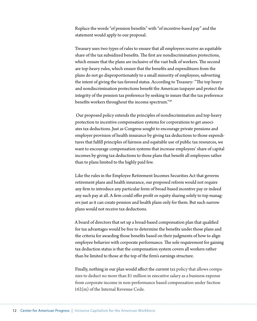Replace the words "of pension benefits" with "of incentive-based pay" and the statement would apply to our proposal.

Treasury uses two types of rules to ensure that all employees receive an equitable share of the tax subsidized benefits. The first are nondiscrimination protections, which ensure that the plans are inclusive of the vast bulk of workers. The second are top-heavy rules, which ensure that the benefits and expenditures from the plans do not go disproportionately to a small minority of employees, subverting the intent of giving the tax-favored status. According to Treasury: "The top heavy and nondiscrimination protections benefit the American taxpayer and protect the integrity of the pension tax preference by seeking to insure that the tax preference benefits workers throughout the income spectrum."20

 Our proposed policy extends the principles of nondiscrimination and top-heavy protection to incentive compensation systems for corporations to get associates tax deductions. Just as Congress sought to encourage private pensions and employer provision of health insurance by giving tax deductions to those expenditures that fulfill principles of fairness and equitable use of public tax resources, we want to encourage compensation systems that increase employees' share of capital incomes by giving tax deductions to those plans that benefit all employees rather than to plans limited to the highly paid few.

Like the rules in the Employee Retirement Incomes Securities Act that governs retirement plans and health insurance, our proposed reform would not require any firm to introduce any particular form of broad-based incentive pay or indeed any such pay at all. A firm could offer profit or equity sharing solely to top managers just as it can create pension and health plans only for them. But such narrow plans would not receive tax deductions.

A board of directors that set up a broad-based compensation plan that qualified for tax advantages would be free to determine the benefits under those plans and the criteria for awarding those benefits based on their judgments of how to align employee behavior with corporate performance. The sole requirement for gaining tax deduction status is that the compensation system covers all workers rather than be limited to those at the top of the firm's earnings structure.

Finally, nothing in our plan would affect the current tax policy that allows companies to deduct no more than \$1 million in executive salary as a business expense from corporate income in non-performance based compensation under Section 162(m) of the Internal Revenue Code.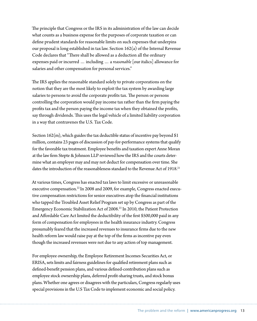The principle that Congress or the IRS in its administration of the law can decide what counts as a business expense for the purposes of corporate taxation or can define prudent standards for reasonable limits on such expenses that underpins our proposal is long established in tax law. Section 162(a) of the Internal Revenue Code declares that "There shall be allowed as a deduction all the ordinary expenses paid or incurred … including … a *reasonable* [our italics] allowance for salaries and other compensation for personal services."

The IRS applies the reasonable standard solely to private corporations on the notion that they are the most likely to exploit the tax system by awarding large salaries to persons to avoid the corporate profits tax. The person or persons controlling the corporation would pay income tax rather than the firm paying the profits tax and the person paying the income tax when they obtained the profits, say through dividends. This uses the legal vehicle of a limited liability corporation in a way that contravenes the U.S. Tax Code.

Section 162(m), which guides the tax deductible status of incentive pay beyond \$1 million, contains 23 pages of discussion of pay-for-performance systems that qualify for the favorable tax treatment. Employee benefits and taxation expert Anne Moran at the law firm Stepte & Johnson LLP reviewed how the IRS and the courts determine what an employer may and may not deduct for compensation over time. She dates the introduction of the reasonableness standard to the Revenue Act of 1918.<sup>21</sup>

At various times, Congress has enacted tax laws to limit excessive or unreasonable executive compensation.<sup>22</sup> In 2008 and 2009, for example, Congress enacted executive compensation restrictions for senior executives atop the financial institutions who tapped the Troubled Asset Relief Program set up by Congress as part of the Emergency Economic Stabilization Act of 2008.23 In 2010, the Patient Protection and Affordable Care Act limited the deductibility of the first \$500,000 paid in any form of compensation for employees in the health insurance industry. Congress presumably feared that the increased revenues to insurance firms due to the new health reform law would raise pay at the top of the firms as incentive pay even though the increased revenues were not due to any action of top management.

For employee ownership, the Employee Retirement Incomes Securities Act, or ERISA, sets limits and fairness guidelines for qualified retirement plans such as defined-benefit pension plans, and various defined-contribution plans such as employee stock ownership plans, deferred profit-sharing trusts, and stock bonus plans. Whether one agrees or disagrees with the particulars, Congress regularly uses special provisions in the U.S Tax Code to implement economic and social policy.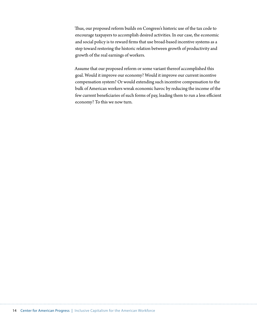Thus, our proposed reform builds on Congress's historic use of the tax code to encourage taxpayers to accomplish desired activities. In our case, the economic and social policy is to reward firms that use broad-based incentive systems as a step toward restoring the historic relation between growth of productivity and growth of the real earnings of workers.

Assume that our proposed reform or some variant thereof accomplished this goal. Would it improve our economy? Would it improve our current incentive compensation system? Or would extending such incentive compensation to the bulk of American workers wreak economic havoc by reducing the income of the few current beneficiaries of such forms of pay, leading them to run a less efficient economy? To this we now turn.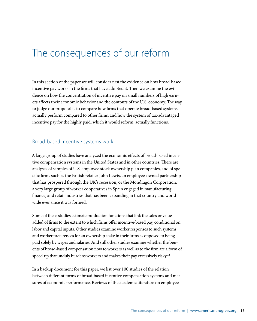# <span id="page-20-0"></span>The consequences of our reform

In this section of the paper we will consider first the evidence on how broad-based incentive pay works in the firms that have adopted it. Then we examine the evidence on how the concentration of incentive pay on small numbers of high earners affects their economic behavior and the contours of the U.S. economy. The way to judge our proposal is to compare how firms that operate broad-based systems actually perform compared to other firms, and how the system of tax-advantaged incentive pay for the highly paid, which it would reform, actually functions.

### Broad-based incentive systems work

A large group of studies have analyzed the economic effects of broad-based incentive compensation systems in the United States and in other countries. There are analyses of samples of U.S. employee stock ownership plan companies, and of specific firms such as the British retailer John Lewis, an employee-owned partnership that has prospered through the UK's recession, or the Mondragon Corporation, a very large group of worker cooperatives in Spain engaged in manufacturing, finance, and retail industries that has been expanding in that country and worldwide ever since it was formed.

Some of these studies estimate production functions that link the sales or value added of firms to the extent to which firms offer incentive-based pay, conditional on labor and capital inputs. Other studies examine worker responses to such systems and worker preferences for an ownership stake in their firms as opposed to being paid solely by wages and salaries. And still other studies examine whether the benefits of broad-based compensation flow to workers as well as to the firm are a form of speed-up that unduly burdens workers and makes their pay excessively risky.<sup>24</sup>

In a backup document for this paper, we list over 100 studies of the relation between different forms of broad-based incentive compensation systems and measures of economic performance. Reviews of the academic literature on employee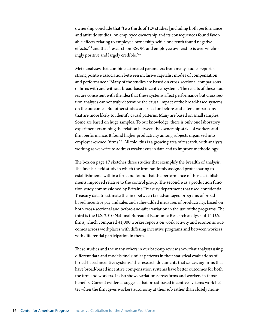ownership conclude that "two thirds of 129 studies [including both performance and attitude studies] on employee ownership and its consequences found favorable effects relating to employee ownership, while one tenth found negative effects,"<sup>25</sup> and that "research on ESOPs and employee ownership is overwhelmingly positive and largely credible."26

Meta-analyses that combine estimated parameters from many studies report a strong positive association between inclusive capitalist modes of compensation and performance.<sup>27</sup> Many of the studies are based on cross-sectional comparisons of firms with and without broad-based incentives systems. The results of these studies are consistent with the idea that these systems affect performance but cross section analyses cannot truly determine the causal impact of the broad-based systems on the outcomes. But other studies are based on before-and-after comparisons that are more likely to identify causal patterns. Many are based on small samples. Some are based on huge samples. To our knowledge, there is only one laboratory experiment examining the relation between the ownership stake of workers and firm performance. It found higher productivity among subjects organized into employee-owned "firms."<sup>28</sup> All told, this is a growing area of research, with analysts working as we write to address weaknesses in data and to improve methodology.

The box on page 17 sketches three studies that exemplify the breadth of analysis. The first is a field study in which the firm randomly assigned profit sharing to establishments within a firm and found that the performance of those establishments improved relative to the control group. The second was a production function study commissioned by Britain's Treasury department that used confidential Treasury data to estimate the link between tax-advantaged programs of broadbased incentive pay and sales and value-added measures of productivity, based on both cross-sectional and before-and-after variation in the use of the programs. The third is the U.S. 2010 National Bureau of Economic Research analysis of 14 U.S. firms, which compared 41,000 worker reports on work activity and economic outcomes across workplaces with differing incentive programs and between workers with differential participation in them.

These studies and the many others in our back-up review show that analysts using different data and models find similar patterns in their statistical evaluations of broad-based incentive systems. The research documents that *on average* firms that have broad-based incentive compensation systems have better outcomes for both the firm and workers. It also shows variation across firms and workers in those benefits. Current evidence suggests that broad-based incentive systems work better when the firm gives workers autonomy at their job rather than closely moni-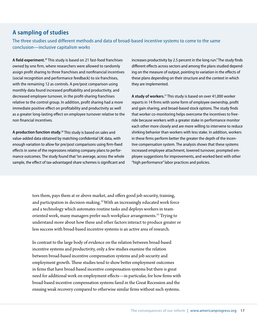#### **A sampling of studies**

The three studies used different methods and data of broad-based incentive systems to come to the same conclusion—inclusive capitalism works

**A field experiment.**29 This study is based on 21 fast-food franchises owned by one firm, where researchers were allowed to randomly assign profit sharing to three franchises and nonfinancial incentives (social recognition and performance feedback) to six franchises, with the remaining 12 as controls. A pre/post comparison using monthly data found increased profitability and productivity, and decreased employee turnover, in the profit-sharing franchises relative to the control group. In addition, profit sharing had a more immediate positive effect on profitability and productivity as well as a greater long-lasting effect on employee turnover relative to the non financial incentives.

**A production function study.**30 This study is based on sales and value-added data obtained by matching confidential UK data, with enough variation to allow for pre/post comparisons using firm-fixed effects in some of the regressions relating company plans to performance outcomes. The study found that "on average, across the whole sample, the effect of tax-advantaged share schemes is significant and increases productivity by 2.5 percent in the long run." The study finds different effects across sectors and among the plans studied depending on the measure of output, pointing to variation in the effects of these plans depending on their structure and the context in which they are implemented.

**A study of workers.**31 This study is based on over 41,000 worker reports in 14 firms with some form of employee ownership, profit and gain sharing, and broad-based stock options. The study finds that worker co-monitoring helps overcome the incentives to freeride because workers with a greater stake in performance monitor each other more closely and are more willing to intervene to reduce shirking behavior than workers with less stake. In addition, workers in these firms perform better the greater the depth of the incentive compensation system. The analysis shows that these systems increased employee attachment, lowered turnover, prompted employee suggestions for improvements, and worked best with other "high performance" labor practices and policies.

tors them, pays them at or above market, and offers good job security, training, and participation in decision-making.<sup>32</sup> With an increasingly educated work force and a technology which automates routine tasks and deploys workers in teamoriented work, many managers prefer such workplace arrangements.<sup>33</sup> Trying to understand more about how these and other factors interact to produce greater or less success with broad-based incentive systems is an active area of research.

In contrast to the large body of evidence on the relation between broad-based incentive systems and productivity, only a few studies examine the relation between broad-based incentive compensation systems and job security and employment growth. These studies tend to show better employment outcomes in firms that have broad-based incentive compensation systems but there is great need for additional work on employment effects—in particular, for how firms with broad-based incentive compensation systems fared in the Great Recession and the ensuing weak recovery compared to otherwise similar firms without such systems.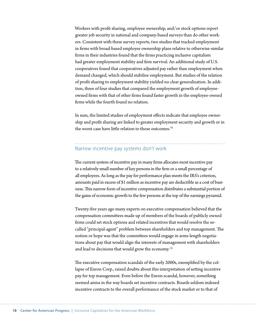<span id="page-23-0"></span>Workers with profit sharing, employee ownership, and/or stock options report greater job security in national and company-based surveys than do other workers. Consistent with these survey reports, two studies that tracked employment in firms with broad-based employee ownership plans relative to otherwise-similar firms in their industries found that the firms practicing inclusive capitalism had greater employment stability and firm survival. An additional study of U.S. cooperatives found that cooperatives adjusted pay rather than employment when demand changed, which should stabilize employment. But studies of the relation of profit sharing to employment stability yielded no clear generalization. In addition, three of four studies that compared the employment growth of employeeowned firms with that of other firms found faster growth in the employee-owned firms while the fourth found no relation

In sum, the limited studies of employment effects indicate that employee ownership and profit sharing are linked to greater employment security and growth or in the worst case have little relation to those outcomes. $34$ 

#### Narrow incentive pay systems don't work

The current system of incentive pay in many firms allocates most incentive pay to a relatively small number of key persons in the firm or a small percentage of all employees. As long as the pay for performance plan meets the IRS's criterion, amounts paid in excess of \$1 million as incentive pay are deductible as a cost of business. This narrow form of incentive compensation distributes a substantial portion of the gains of economic growth to the few persons at the top of the earnings pyramid.

Twenty-five years ago many experts on executive compensation believed that the compensation committees made up of members of the boards of publicly owned firms could set stock options and related incentives that would resolve the socalled "principal-agent" problem between shareholders and top management. The notion or hope was that the committees would engage in arms-length negotiations about pay that would align the interests of management with shareholders and lead to decisions that would grow the economy.<sup>35</sup>

The executive compensation scandals of the early 2000s, exemplified by the collapse of Enron Corp., raised doubts about this interpretation of setting incentive pay for top management. Even before the Enron scandal, however, something seemed amiss in the way boards set incentive contracts. Boards seldom indexed incentive contracts to the overall performance of the stock market or to that of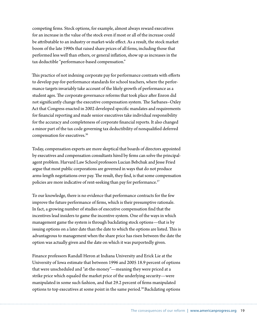competing firms. Stock options, for example, almost always reward executives for an increase in the value of the stock even if most or all of the increase could be attributable to an industry or market-wide effect. As a result, the stock market boom of the late 1990s that raised share prices of all firms, including those that performed less well than others, or general inflation, show up as increases in the tax deductible "performance-based compensation."

This practice of not indexing corporate pay for performance contrasts with efforts to develop pay-for-performance standards for school teachers, where the performance targets invariably take account of the likely growth of performance as a student ages. The corporate governance reforms that took place after Enron did not significantly change the executive compensation system. The Sarbanes–Oxley Act that Congress enacted in 2002 developed specific mandates and requirements for financial reporting and made senior executives take individual responsibility for the accuracy and completeness of corporate financial reports. It also changed a minor part of the tax code governing tax deductibility of nonqualified deferred compensation for executives.36

Today, compensation experts are more skeptical that boards of directors appointed by executives and compensation consultants hired by firms can solve the principalagent problem. Harvard Law School professors Lucian Bebchuk and Jesse Fried argue that most public corporations are governed in ways that do not produce arms-length negotiations over pay. The result, they find, is that some compensation policies are more indicative of rent-seeking than pay for performance.<sup>37</sup>

To our knowledge, there is no evidence that performance contracts for the few improve the future performance of firms, which is their presumptive rationale. In fact, a growing number of studies of executive compensation find that the incentives lead insiders to game the incentive system. One of the ways in which management game the system is through backdating stock options—that is by issuing options on a later date than the date to which the options are listed. This is advantageous to management when the share price has risen between the date the option was actually given and the date on which it was purportedly given.

Finance professors Randall Heron at Indiana University and Erick Lie at the University of Iowa estimate that between 1996 and 2005 18.9 percent of options that were unscheduled and "at-the-money"—meaning they were priced at a strike price which equaled the market price of the underlying security—were manipulated in some such fashion, and that 29.2 percent of firms manipulated options to top executives at some point in the same period.<sup>38</sup> Backdating options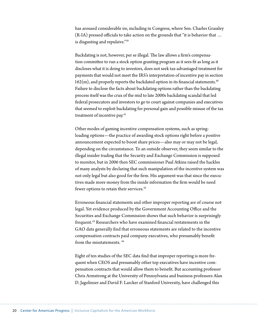has aroused considerable ire, including in Congress, where Sen. Charles Grassley  $(R-IA)$  pressed officials to take action on the grounds that "it is behavior that ... is disgusting and repulsive."39

Backdating is not, however, per se illegal. The law allows a firm's compensation committee to run a stock option granting program as it sees fit as long as it discloses what it is doing to investors, does not seek tax-advantaged treatment for payments that would not meet the IRS's interpretation of incentive pay in section  $162(m)$ , and properly reports the backdated option in its financial statements.<sup>40</sup> Failure to disclose the facts about backdating options rather than the backdating process itself was the crux of the mid to late 2000s backdating scandal that led federal prosecutors and investors to go to court against companies and executives that seemed to exploit backdating for personal gain and possible misuse of the tax treatment of incentive pay.<sup>41</sup>

Other modes of gaming incentive compensation systems, such as springloading options—the practice of awarding stock options right before a positive announcement expected to boost share prices—also may or may not be legal, depending on the circumstance. To an outside observer, they seem similar to the illegal insider trading that the Security and Exchange Commission is supposed to monitor, but in 2006 then SEC commissioner Paul Atkins raised the hackles of many analysts by declaring that such manipulation of the incentive system was not only legal but also good for the firm. His argument was that since the executives made more money from the inside information the firm would be need fewer options to retain their services.<sup>42</sup>

Erroneous financial statements and other improper reporting are of course not legal. Yet evidence produced by the Government Accounting Office and the Securities and Exchange Commission shows that such behavior is surprisingly frequent.<sup>43</sup> Researchers who have examined financial restatements in the GAO data generally find that erroneous statements are related to the incentive compensation contracts paid company executives, who presumably benefit from the misstatements. 44

Eight of ten studies of the SEC data find that improper reporting is more frequent when CEOS and presumably other top executives have incentive compensation contracts that would allow them to benefit. But accounting professor Chris Armstrong at the University of Pennsylvania and business professors Alan D. Jagolinzer and David F. Larcker of Stanford University, have challenged this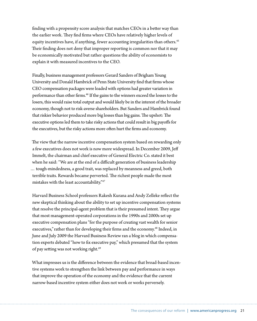finding with a propensity score analysis that matches CEOs in a better way than the earlier work. They find firms where CEOs have relatively higher levels of equity incentives have, if anything, fewer accounting irregularities than others.<sup>45</sup> Their finding does not deny that improper reporting is common nor that it may be economically motivated but rather questions the ability of economists to explain it with measured incentives to the CEO.

Finally, business management professors Gerard Sanders of Brigham Young University and Donald Hambrick of Penn State University find that firms whose CEO compensation packages were loaded with options had greater variation in performance than other firms.<sup>46</sup> If the gains to the winners exceed the losses to the losers, this would raise total output and would likely be in the interest of the broader economy, though not to risk-averse shareholders. But Sanders and Hambrick found that riskier behavior produced more big losses than big gains. The upshot: The executive options led them to take risky actions that could result in big payoffs for the executives, but the risky actions more often hurt the firms and economy.

The view that the narrow incentive compensation system based on rewarding only a few executives does not work is now more widespread. In December 2009, Jeff Immelt, the chairman and chief executive of General Electric Co. stated it best when he said: "We are at the end of a difficult generation of business leadership … tough-mindedness, a good trait, was replaced by meanness and greed, both terrible traits. Rewards became perverted. The richest people made the most mistakes with the least accountability."47

Harvard Business School professors Rakesh Kurana and Andy Zelleke reflect the new skeptical thinking about the ability to set up incentive compensation systems that resolve the principal-agent problem that is their presumed intent. They argue that most management-operated corporations in the 1990s and 2000s set up executive compensation plans "for the purpose of creating vast wealth for senior executives," rather than for developing their firms and the economy.<sup>48</sup> Indeed, in June and July 2009 the Harvard Business Review ran a blog in which compensation experts debated "how to fix executive pay," which presumed that the system of pay setting was not working right.<sup>49</sup>

What impresses us is the difference between the evidence that broad-based incentive systems work to strengthen the link between pay and performance in ways that improve the operation of the economy and the evidence that the current narrow-based incentive system either does not work or works perversely.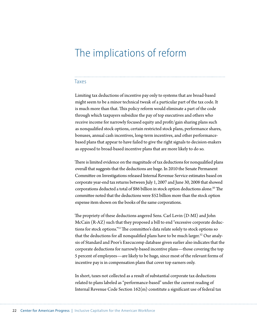### <span id="page-27-0"></span>The implications of reform

#### Taxes

Limiting tax deductions of incentive pay only to systems that are broad-based might seem to be a minor technical tweak of a particular part of the tax code. It is much more than that. This policy reform would eliminate a part of the code through which taxpayers subsidize the pay of top executives and others who receive income for narrowly focused equity and profit/gain sharing plans such as nonqualified stock options, certain restricted stock plans, performance shares, bonuses, annual cash incentives, long-term incentives, and other performancebased plans that appear to have failed to give the right signals to decision-makers as opposed to broad-based incentive plans that are more likely to do so.

There is limited evidence on the magnitude of tax deductions for nonqualified plans overall that suggests that the deductions are huge. In 2010 the Senate Permanent Committee on Investigations released Internal Revenue Service estimates based on corporate year-end tax returns between July 1, 2007 and June 30, 2008 that showed corporations deducted a total of \$86 billion in stock option deductions alone. $^{50}$  The committee noted that the deductions were \$52 billion more than the stock option expense item shown on the books of the same corporations.

The propriety of these deductions angered Sens. Carl Levin (D-MI) and John McCain (R-AZ) such that they proposed a bill to end "excessive corporate deductions for stock options."<sup>51</sup> The committee's data relate solely to stock options so that the deductions for all nonqualified plans have to be much larger. $52$  Our analysis of Standard and Poor's Execucomp database given earlier also indicates that the corporate deductions for narrowly-based incentive plans—those covering the top 5 percent of employees—are likely to be huge, since most of the relevant forms of incentive pay is in compensation plans that cover top earners only.

In short, taxes not collected as a result of substantial corporate tax deductions related to plans labeled as "performance-based" under the current reading of Internal Revenue Code Section  $162(m)$  constitute a significant use of federal tax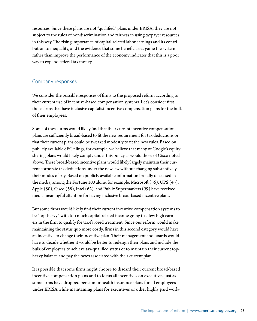<span id="page-28-0"></span>resources. Since these plans are not "qualified" plans under ERISA, they are not subject to the rules of nondiscrimination and fairness in using taxpayer resources in this way. The rising importance of capital-related labor earnings and its contribution to inequality, and the evidence that some beneficiaries game the system rather than improve the performance of the economy indicates that this is a poor way to expend federal tax money.

# Company responses

We consider the possible responses of firms to the proposed reform according to their current use of incentive-based compensation systems. Let's consider first those firms that have inclusive capitalist incentive compensation plans for the bulk of their employees.

Some of these firms would likely find that their current incentive compensation plans are sufficiently broad-based to fit the new requirement for tax deductions or that their current plans could be tweaked modestly to fit the new rules. Based on publicly available SEC filings, for example, we believe that many of Google's equity sharing plans would likely comply under this policy as would those of Cisco noted above. These broad-based incentive plans would likely largely maintain their current corporate tax deductions under the new law without changing substantively their modes of pay. Based on publicly available information broadly discussed in the media, among the Fortune 100 alone, for example, Microsoft  $(36)$ , UPS  $(43)$ , Apple (50), Cisco (58), Intel (62), and Publix Supermarkets (99) have received media meaningful attention for having inclusive broad-based incentive plans.

But some firms would likely find their current incentive compensation systems to be "top-heavy" with too much capital-related income going to a few high earners in the firm to qualify for tax-favored treatment. Since our reform would make maintaining the status quo more costly, firms in this second category would have an incentive to change their incentive plan. Their management and boards would have to decide whether it would be better to redesign their plans and include the bulk of employees to achieve tax-qualified status or to maintain their current topheavy balance and pay the taxes associated with their current plan.

It is possible that some firms might choose to discard their current broad-based incentive compensation plans and to focus all incentives on executives just as some firms have dropped pension or health insurance plans for all employees under ERISA while maintaining plans for executives or other highly paid work-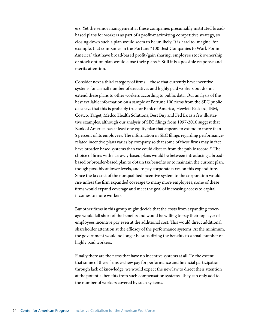ers. Yet the senior management at these companies presumably instituted broadbased plans for workers as part of a profit-maximizing competitive strategy, so closing down such a plan would seem to be unlikely. It is hard to imagine, for example, that companies in the Fortune "100 Best Companies to Work For in America" that have broad-based profit/gain sharing, employee stock ownership or stock option plan would close their plans.<sup>53</sup> Still it is a possible response and merits attention.

Consider next a third category of firms-those that currently have incentive systems for a small number of executives and highly paid workers but do not extend these plans to other workers according to public data. Our analysis of the best available information on a sample of Fortune 100 firms from the SEC public data says that this is probably true for Bank of America, Hewlett Packard, IBM, Costco, Target, Medco Health Solutions, Best Buy and Fed Ex as a few illustrative examples, although our analysis of SEC filings from 1997-2010 suggest that Bank of America has at least one equity plan that appears to extend to more than 5 percent of its employees. The information in SEC filings regarding performancerelated incentive plans varies by company so that some of these firms may in fact have broader-based systems than we could discern from the public record.<sup>54</sup> The choice of firms with narrowly-based plans would be between introducing a broadbased or broader-based plan to obtain tax benefits or to maintain the current plan, though possibly at lower levels, and to pay corporate taxes on this expenditure. Since the tax cost of the nonqualified incentive system to the corporation would rise unless the firm expanded coverage to many more employees, some of these firms would expand coverage and meet the goal of increasing access to capital incomes to more workers.

But other firms in this group might decide that the costs from expanding coverage would fall short of the benefits and would be willing to pay their top layer of employees incentive pay even at the additional cost. This would direct additional shareholder attention at the efficacy of the performance systems. At the minimum, the government would no longer be subsidizing the benefits to a small number of highly paid workers.

Finally there are the firms that have no incentive systems at all. To the extent that some of these firms eschew pay for performance and financial participation through lack of knowledge, we would expect the new law to direct their attention at the potential benefits from such compensation systems. They can only add to the number of workers covered by such systems.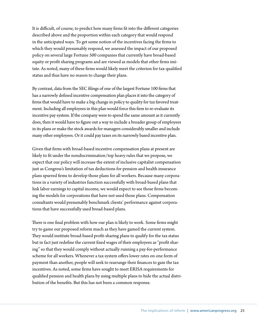It is difficult, of course, to predict how many firms fit into the different categories described above and the proportion within each category that would respond in the anticipated ways. To get some notion of the incentives facing the firms to which they would presumably respond, we assessed the impact of our proposed policy on several large Fortune 500 companies that currently have broad-based equity or profit sharing programs and are viewed as models that other firms imitate. As noted, many of these firms would likely meet the criterion for tax-qualified status and thus have no reason to change their plans.

By contrast, data from the SEC filings of one of the largest Fortune 100 firms that has a narrowly defined incentive compensation plan places it into the category of firms that would have to make a big change in policy to quality for tax favored treatment. Including all employees in this plan would force this firm to re-evaluate its incentive pay system. If the company were to spend the same amount as it currently does, then it would have to figure out a way to include a broader group of employees in its plans or make the stock awards for managers considerably smaller and include many other employees. Or it could pay taxes on its narrowly based incentive plan.

Given that firms with broad-based incentive compensation plans at present are likely to fit under the nondiscrimination/top heavy rules that we propose, we expect that our policy will increase the extent of inclusive capitalist compensation just as Congress's limitation of tax deductions for pension and health insurance plans spurred firms to develop those plans for all workers. Because many corporations in a variety of industries function successfully with broad-based plans that link labor earnings to capital income, we would expect to see those firms becoming the models for corporations that have not used those plans. Compensation consultants would presumably benchmark clients' performance against corporations that have successfully used broad-based plans.

There is one final problem with how our plan is likely to work. Some firms might try to game our proposed reform much as they have gamed the current system. They would institute broad-based profit-sharing plans to qualify for the tax status but in fact just redefine the current fixed wages of their employees as "profit sharing" so that they would comply without actually running a pay-for-performance scheme for all workers. Whenever a tax system offers lower rates on one form of payment than another, people will seek to rearrange their finances to gain the tax incentives. As noted, some firms have sought to meet ERISA requirements for qualified pension and health plans by using multiple plans to hide the actual distribution of the benefits. But this has not been a common response.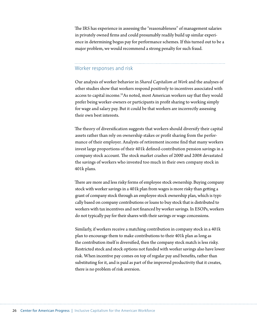<span id="page-31-0"></span>The IRS has experience in assessing the "reasonableness" of management salaries in privately owned firms and could presumably readily build up similar experience in determining bogus pay for performance schemes. If this turned out to be a major problem, we would recommend a strong penalty for such fraud.

#### Worker responses and risk

Our analysis of worker behavior in *Shared Capitalism at Work* and the analyses of other studies show that workers respond positively to incentives associated with access to capital income.<sup>55</sup>As noted, most American workers say that they would prefer being worker-owners or participants in profit sharing to working simply for wage and salary pay. But it could be that workers are incorrectly assessing their own best interests.

The theory of diversification suggests that workers should diversify their capital assets rather than rely on ownership stakes or profit sharing from the performance of their employer. Analysts of retirement income find that many workers invest large proportions of their 401k defined-contribution pension savings in a company stock account. The stock market crashes of 2000 and 2008 devastated the savings of workers who invested too much in their own company stock in 401k plans.

There are more and less risky forms of employee stock ownership. Buying company stock with worker savings in a 401k plan from wages is more risky than getting a grant of company stock through an employee stock ownership plan, which is typically based on company contributions or loans to buy stock that is distributed to workers with tax incentives and not financed by worker savings. In ESOPs, workers do not typically pay for their shares with their savings or wage concessions.

Similarly, if workers receive a matching contribution in company stock in a 401k plan to encourage them to make contributions to their 401k plan as long as the contribution itself is diversified, then the company stock match is less risky. Restricted stock and stock options not funded with worker savings also have lower risk. When incentive pay comes on top of regular pay and benefits, rather than substituting for it, and is paid as part of the improved productivity that it creates, there is no problem of risk aversion.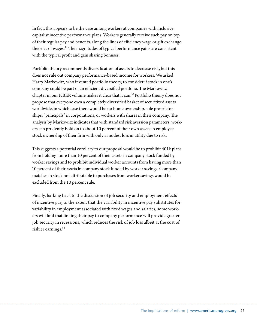In fact, this appears to be the case among workers at companies with inclusive capitalist incentive performance plans. Workers generally receive such pay on top of their regular pay and benefits, along the lines of efficiency wage or gift exchange theories of wages.<sup>56</sup> The magnitudes of typical performance gains are consistent with the typical profit and gain sharing bonuses.

Portfolio theory recommends diversification of assets to decrease risk, but this does not rule out company performance-based income for workers. We asked Harry Markowitz, who invented portfolio theory, to consider if stock in one's company could be part of an efficient diversified portfolio. The Markowitz chapter in our NBER volume makes it clear that it can.<sup>57</sup> Portfolio theory does not propose that everyone own a completely diversified basket of securitized assets worldwide, in which case there would be no home ownership, sole proprietorships, "principals" in corporations, or workers with shares in their company. The analysis by Markowitz indicates that with standard risk aversion parameters, workers can prudently hold on to about 10 percent of their own assets in employee stock ownership of their firm with only a modest loss in utility due to risk.

This suggests a potential corollary to our proposal would be to prohibit 401k plans from holding more than 10 percent of their assets in company stock funded by worker savings and to prohibit individual worker accounts from having more than 10 percent of their assets in company stock funded by worker savings. Company matches in stock not attributable to purchases from worker savings would be excluded from the 10 percent rule.

Finally, harking back to the discussion of job security and employment effects of incentive pay, to the extent that the variability in incentive pay substitutes for variability in employment associated with fixed wages and salaries, some workers will find that linking their pay to company performance will provide greater job security in recessions, which reduces the risk of job loss albeit at the cost of riskier earnings.<sup>58</sup>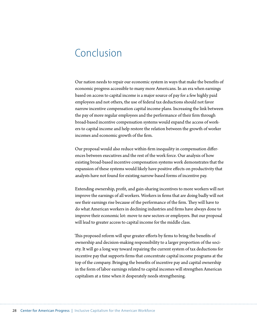### <span id="page-33-0"></span>Conclusion

Our nation needs to repair our economic system in ways that make the benefits of economic progress accessible to many more Americans. In an era when earnings based on access to capital income is a major source of pay for a few highly paid employees and not others, the use of federal tax deductions should not favor narrow incentive compensation capital income plans. Increasing the link between the pay of more regular employees and the performance of their firm through broad-based incentive compensation systems would expand the access of workers to capital income and help restore the relation between the growth of worker incomes and economic growth of the firm.

Our proposal would also reduce within-firm inequality in compensation differences between executives and the rest of the work force. Our analysis of how existing broad-based incentive compensation systems work demonstrates that the expansion of these systems would likely have positive effects on productivity that analysts have not found for existing narrow-based forms of incentive pay.

Extending ownership, profit, and gain-sharing incentives to more workers will not improve the earnings of all workers. Workers in firms that are doing badly will not see their earnings rise because of the performance of the firm. They will have to do what American workers in declining industries and firms have always done to improve their economic lot: move to new sectors or employers. But our proposal will lead to greater access to capital income for the middle class.

This proposed reform will spur greater efforts by firms to bring the benefits of ownership and decision-making responsibility to a larger proportion of the society. It will go a long way toward repairing the current system of tax deductions for incentive pay that supports firms that concentrate capital income programs at the top of the company. Bringing the benefits of incentive pay and capital ownership in the form of labor earnings related to capital incomes will strengthen American capitalism at a time when it desperately needs strengthening.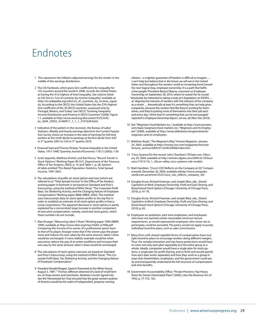### <span id="page-34-0"></span>Endnotes

- 1 This represents the inflation-adjusted earnings for the worker in the middle of the earnings distribution.
- 2 The CIA Factbook, which gives Gini coefficients for inequality for 135 countries around the world in 2008, records the United States as having the 41st highest of level inequality. See column listed as CIA Gini in, "List of countries by income inequality," available at http://en.wikipedia.org/wiki/List\_of\_countries\_by\_income\_equality. According to the OECD, the United States has the 27th highest Gini coefficient of the 30 OECD countries, surpassed only by Portugal, Mexico, and Turkey. See OECD, "Growing Inequality: Income Distribution and Poverty in OECD Countries" (2008), Figure 1.1, available at http://www.oecd.org/document/53/0,3343, en\_2649\_33933\_41460917\_1\_1\_1\_37419,00.html.
- 3 Indicative of the pattern in the recession, the Bureau of Labor Statistics, Weekly and hourly earnings data from the Current Population Survey shows an increase in the ratio of earnings for full time workers at the ninth decile to earnings at the first decile from 4.87 in 3<sup>rd</sup> quarter 2007 to 5.03 in 3<sup>rd</sup> quarter 2010.
- 4 Emanuel Saez and Thomas Pickety, "Income Inequality in the United States, 1913-1998," Quarterly Journal of Economics 118 (1) (2003): 1-39.
- 5 Scott Jaquette, Matthew Knittel, and Karl Russo, "Recent Trends in Stock Options." Working Paper 89 (U.S. Department of the Treasury, Office of Tax Analysis, 2003), p. 14 and Table 1, p, 28, bottom of table entitled "Pro-Rated Population Statistics, Total Spread Income, 1997-2001.
- 6 The calculations of profits on stock option exercises (which are referred to as "Total Spread Income" in the Office of Tax Analysis working paper in footnote v) are based on Standard and Poor's Execucomp, using the method of Mihir Desai, "The Corporate Profit Base, Tax Sheltering Activity, and the Changing Nature of Employee Compensation." Working paper 8866 (NBER, 2002). This method uses Execucomp's data on stock option profits to the top five in order to establish an estimate of all stock option profits in Execucomp corporations. The apparent decrease in stock options is partly explained by a concomitant large increase in another component of executive compensation, namely, restricted stock grants, which these numbers do not include.
- 7 Alan Krueger, "Measuring Labor's Share." Working paper 7006 (NBER, 1999), available at http://www.nber.org/tmp/34282-w7006.pdf. Comparing the income of an owner of a professional sports team to that of his player, Krueger notes that if the owner pays the player more and reduces his own salary by the same amount, labor's share would be unchanged. A more realistic example would be when executives reduce the pay of an entire workforce and increase their own pay by the same amount, labor's share would be unchanged.
- 8 The calculations of stock option exercises are based on Standard and Poor's Execucomp, using the method of Mihir Desai, "The Corporate Profit Base, Tax Sheltering Activity, and the Changing Nature of Employee Compensation."
- 9 President Ronald Reagan, Speech Presented at the White House, August 3, 1987. " Thomas Jefferson dreamed of a land of small farmers, of shop owners and merchants. Abraham Lincoln signed into law the 'Homestead Act' that ensured that the great western prairies of America would be the realm of independent, property-owning

citizens—a mightier guarantee of freedom is difficult to imagine…. I can't help but believe that in the future we will see in the United States and throughout the western world an increasing trend toward the next logical step, employee ownership. It is a path that befits a free people." President Barack Obama, comment on Employee Ownership on September 28, 2010, where he stated the he would "absolutely be interested in taking a look at it (legislation on ESOPs) … as "aligning the interests of workers with the interests of the company as a whole ... theoretically at least it's something that can help grow companies, because the workers feel like they're working for themselves, and they're putting more of themselves into their job each and every day. I think that it's something that can be encouraged," reported in Employee Ownership Report, vol xxx, (6) (Nov-Dec 2010)..

- 10 See "Wegmans Food Markets Inc.," available at http://www.answers. com/topic/wegmans-food-markets-inc; "Wegmans and Its Employees" (2008), available at [http://www.slideshare.net/ganeshramb/](http://www.slideshare.net/ganeshramb/wegmans-and-its-employees) [wegmans-and-its-employees](http://www.slideshare.net/ganeshramb/wegmans-and-its-employees).
- 11 Matthew Boyle, "The Wegman's Way," Fortune Magazine, January 24, 2005, available at [http://money.cnn.com/magazines/fortune/](http://money.cnn.com/magazines/fortune/fortune_archive/2005/01/24/8234048/index.htm) [fortune\\_archive/2005/01/24/8234048/index.htm](http://money.cnn.com/magazines/fortune/fortune_archive/2005/01/24/8234048/index.htm).
- 12 "Cisco Sysems/On the record: John Chambers," SFGate.com, February 29, 2004, available at http://articles.sfgate.com/2004-02-29/business/17412116\_1\_silicon-valley-cisco-systems-role-models.
- 13 Matt Hamblen, "Cisco's CEO Reflects on the Company at 20," Computerworld, December 20, 2004, available at[http://www.computer](http://www.computerworld.com.au/article/5525/cisco_ceo_reflects_company_20/)[world.com.au/article/5525/cisco\\_ceo\\_reflects\\_company\\_20/](http://www.computerworld.com.au/article/5525/cisco_ceo_reflects_company_20/).
- 14 Douglas Kruse, Richard Freeman, and Joseph Blasi, eds., Shared Capitalism at Work: Employee Ownership, Profit and Gain Sharing, and Broad-based Stock Options (Chicago: University of Chicago Press, 2010), p. 41-76.
- 15 Douglas Kruse, Richard Freeman, and Joseph Blasi, eds., Shared Capitalism at Work: Employee Ownership, Profit and Gain Sharing, and Broad-based Stock Options (Chicago: University of Chicago Press, 2010), p. 65.
- 16 Employees on probation, part-time employees, and employees who have not reached certain reasonable minimum tenure requirements, as would represented employees who chose not to participate, could be excluded. The policy would not apply to purely individual incentive plans, such as sales commissions.
- 17 Many firms with shared capitalist forms of compensation have multiple incentive plans to encourage workers along different margins. Thus, the nondiscrimination and top-heavy protections would have to cover not only each plan separately but the entire group as a whole. Ideally, companies would have a single plan for stock options, a single plan for profit sharing, and so forth and would specify how each plan works separately and how they work as a group in ways that shareholders, employees, and the government could easily and transparently understand the full structure of compensation and who benefits.
- 18 Government Accountability Office, "Private Pensions: Top-Heavy Rules for Owner-Dominated Plans" (2000), cites the Revenue Act of 1942, p. 77-753, 162.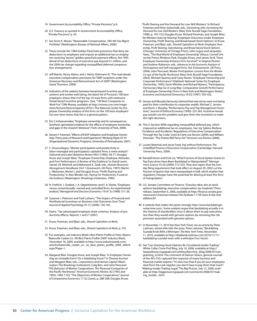- 19 Government Accountability Office, "Private Pensions," p 6.
- 20 U.S. Treasury as quoted in Government Accountability Office, "Private Pensions," p. 43.
- 21 See Anne E. Moran, "Reasonable Compensation, 390-4th Tax Mgmt. Portfolio" (Washington: Bureau of National Affairs, 2009).
- 22 These include the 1984 Golden Parachute provisions that deny tax deductions to employers and impose an additional tax on employees receiving "excess" golden parachute payment efforts, the 1993 denial of tax deductions of executive pay beyond \$1 million, and the 2004 tax change regarding nonqualified deferred compensation arrangements.
- 23 Jeff Martin, Henry Atkins, and J. Henry Oehmann III, "The road ahead: executive compensation provisions for TARP recipients under the American Recovery and Reinvestment Act of 2009" (Washington: Grant Thornton, 2009).
- 24 Indicative of the relation between broad-based incentive pay systems and worker well-being, the latest list of Fortune's 100 best employers shows that 4 of the top 10 were firms with extensive broad-based incentive programs. (See, "100 Best Companies to Work For," CNN Money, available at http://money.cnn.com/magazines/fortune/bestcompanies/2010/.) The National Center for Employee Ownership analysis of the firms on the 100 best employers' list over time shows that this is a general pattern.
- 25 Eric C.A.Kaarsemaker, "Employee ownership and its consequences: Synthesis-generated evidence for the effects of employee ownership and gaps in the research literature" (York: University of York, 2006).
- 26 Steven F. Freeman, "Effects of ESOP Adoption and Employee Ownership: Thirty years of Research and Experience." Working Paper 07-01 (Organizational Dynamics Programs, University of Pennsylvania, 2007).
- 27 C. Doucouliagos, "Worker participation and productivity in labor-managed and participatory capitalist firms: a meta-analysis" Industrial and Labor Relations Review 49(1) (1995): 58-77; Douglas Kruse and Joseph Blasi, "Employee Ownership, Employee Attitudes, and Firm Performance: A Review of the Evidence," in David Lewin, Daniel J.B. Mitchell, and Mahmood A. Zaidi, eds., Human Resources Management Handbook, Part 1 (Greenwich: JAI Press, 1997); Martin L. Weitzman, Martin L and Douglas Kruse, "Profit Sharing and Productivity," in Alan Blinder, ed., Paying For Productivity: A Look at the Evidence (Washington: Brookings Institution, 1990).
- 28 N. Frohlich, J. Godard, J. A. Oppenheimer, and F. A. Starke, "Employee versus conventionally- owned and controlled firms: An experimental analysis," Managerial and Decision Economics 19 (4/ 5) (1998): 311-26.
- 29 Suzanne J. Peterson and Fred Luthans, "The Impact of Financial and Nonfinancial Incentives on Business-Unit Outcomes Over Time," Journal of Applied Psychology 91 (1) (2006): 156-165.
- 30 Oxera, "Tax-advantaged employee share schemes: Analysis of productivity effects, Reports 1 and 2" (2007).
- 31 Kruse, Freeman, and Blasi, eds., Shared Capitalism at Work,
- 32 Kruse, Freeman, and Blasi, eds., Shared Capitalism at Work, p. 276
- 33 For examples, see Industry Week's Best Plants Profile at Peter Alpern, "Batesville Casket Co.: IW Best Plants Profile 2009" Industry Week, December 16, 2009, available at [http://www.industryweek.com/](http://www.industryweek.com/articles/batesville_casket_co-_iw_best_plants_profile_2009_20624.aspx?Page=1) [articles/batesville\\_casket\\_co-\\_iw\\_best\\_plants\\_profile\\_2009\\_20624.](http://www.industryweek.com/articles/batesville_casket_co-_iw_best_plants_profile_2009_20624.aspx?Page=1) [aspx?Page=1.](http://www.industryweek.com/articles/batesville_casket_co-_iw_best_plants_profile_2009_20624.aspx?Page=1)
- 34 Margaret Blair, Douglas Kruse, and Joseph Blasi, "Is Employee Ownership an Unstable Form? Or a Stabilizing Force?" in Thomas Kochan and Margaret Blair, eds., Corporations and Human Capital (Washington: The Brookings Institution); Craig Ben, and John Pencavel, "The Behavior of Worker Cooperatives: The Plywood Companies of the Pacific Northwest," American Economic Review, 82 (1992 and 1993): 1083-1105; "The Objectives of Worker Cooperatives," Journal of Comparative Economics 17 (2) (June), p. 288-308; Douglas Kruse,

"Profit Sharing and the Demand for Low-Skill Workers," in Richard Freeman and Peter Gottschalk, eds., Generating Jobs: Increasing the Demand for Low-Skill Workers. (New York: Russell Sage Foundation, 1998), p. 105-153; Douglas Kruse, Richard Freeman, and Joseph Blasi, "Do Workers Gain by Sharing? Employee Outcomes Under Employee Ownership, Profit Sharing, and Broad-based Stock Options," in Kruse, Freeman, and Blasi, eds., Shared Capitalism at Work: Employee Ownership, Profit Sharing, Gainsharing, and Broad-based Stock Options (Chicago: University of Chicago Press); John Logue and Jacquelyn Yates, "The Real World of Employee Ownership" (Ithaca: Cornell University Press); Rhokeun Park, Douglas Kruse, and James Sesil, "Does Employee Ownership Enhance Firm Survival?" in Virginie Perotin and Andrew Robinson, eds., Advances in the Economic Analysis of Participatory and Self-managed Firms, Vol. 8 (Greenwich: JAI Press, 2004); John Pencavel, Worker Participation: Lessons from the Worker Co-ops of the Pacific Northwest (New York: Russell Sage Foundation, 2002); Michael Quarrey and Corey Rosen, "Employee Ownership and Corporate Performance" (Oakland: National Center for Employee Ownership, 1993); Gorm Winther and Richard Marens, "Participatory Democracy May Go A Long Way: Comparative Growth Performance of Employee Ownership Firms in New York and Washington States," Economic and Industrial Democracy 18 (3) (1997): 393-422.

- 35 Jensen and Murphy famously claimed that executives were not being paid for their contribution to corporate wealth. Michael C. Jensen and Kevin J. Murphy, "Performance Pay and Top Management Incentives," Journal of Political Economy (1990): 225-265. Incentive-based pay would cure this problem and give them the incentives to make the right decisions.
- 36 This is Section 409A regarding nonqualified deferred pay, which imposed an additional tax on employees. See Joy Sabino Mullane "Incidence and Accidents: Regulations of Executive Compensation Through the Tax Code," Lewis & Clark Law Review (2009); and William Drennan, "The Pirates Will Party On!" Vermont Law Review (2008).
- 37 Lucien Bebchuk and Jesse Fried, Pay without Performance: The Unfulfilled Promise of Executive Compensation (Cambridge: Harvard University Press, 2004).
- 38 Randall Heron and Erick Lie, "What Fraction of Stock Option Grants to Top Executives Have Been Backdated or Manipulated?" Management Science 55 (4) (2009): 513-525. They also report that the twoday filing requirement that took effect on August 29, 2002 cut the fraction of grants that were manipulated in half, which implies that regulatory changes have the potential for altering at least this form of manipulation.
- 39 U.S. Senate Committee on Finance, "Grassley takes aim at stock options backdating, executive compensation tax loophole," Press release, September 6, 2006, available at [http://finance.senate.gov/](http://finance.senate.gov/newsroom/chairman/release/?id=fa3baac7-174f-4e3e-b16d-2eda0b6cec87) [newsroom/chairman/release/?id=fa3baac7-174f-4e3e-b16d-2ed](http://finance.senate.gov/newsroom/chairman/release/?id=fa3baac7-174f-4e3e-b16d-2eda0b6cec87)[a0b6cec87.](http://finance.senate.gov/newsroom/chairman/release/?id=fa3baac7-174f-4e3e-b16d-2eda0b6cec87)
- 40 A website that makes this point strongly http://www.backdatingisnotacrime.com/. Some analysts argue that backdating actually is in the interest of shareholders since it allows them to pay executives less than they would with genuine options by removing the risk premium associated with genuine options.
- 41 In November 11, 2010 the New York Times ran an article by Peter Lattman, whose title tells the story. Peter Lattman, "Backdating Scandal Ends With a Whimper," The New York Times, November 11, 2010, available at [http://dealbook.nytimes.com/2010/11/11/](http://dealbook.nytimes.com/2010/11/11/backdating-scandal-ends-with-a-whimper/?src=busln) [backdating-scandal-ends-with-a-whimper/?src=busln.](http://dealbook.nytimes.com/2010/11/11/backdating-scandal-ends-with-a-whimper/?src=busln)
- 42 See "Can Granting Stock Options Be Considered Insider Trading," White Collar Crime Prof Blog, July 10, 2006, available at http:// lawprofessors.typepad.com/whitecollarcrime\_blog/2006/07/can\_ granting\_st.html. The comment of Damon Silvers, general counsel of the AFL-CIO, captured the response of many business and financial market experts: "It's also true that if you let your employees steal from the cash register, you don't have to pay them that much." "Making Insider Trading Legal," The Big Picture, July 12, 2006, available at http://bigpicture.typepad.com/comments/2006/07/making\_insider\_.html.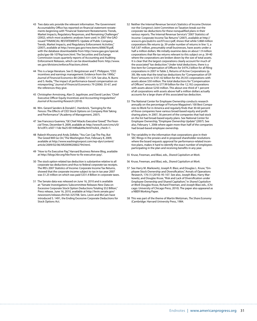- 43 Two data sets provide the relevant information. The Government Accountability Office has reported on financial statement restatements beginning with "Financial Statement Restatements: Trends, Market Impacts, Regulatory Responses, and Remaining Challenges" (2002), which most academic analyses have used. In 2007 the GAO issued "FINANCIAL RESTATEMENTS: Update of Public Company Trends, Market Impacts, and Regulatory Enforcement Activities," (2007), available at http://www.gao.gov/new.items/d06678.pdf, with the database downloadable from http://www.gao.gov/special. pubs/gao-06-1079sp/osm.html. The Securities and Exchange Commission issues quarterly reports of Accounting and Auditing Enforcement Releases, which can be downloaded from: http://www. sec.gov/divisions/enforce/friactions.shtml.
- 44 This is a large literature. See D. Bergstresser and T. Philippon, "CEO incentives and earnings management: Evidence from the 1990s," Journal of Financial Economics 80 (2006): 511-529. See also, N. Burns and S. Kedia, "The impact of performance-based compensation on misreporting," Journal of Financial Economics 79 (2006): 35-67, and the references they give.
- 45 Christopher Armstrong, Alan D. Jagolinzer, and David Larcker, "Chief Executive Officer Equity Incentives and Accounting Irregularities" Journal of Accounting Research (2010).
- 46 Wm. Gerard Sanders & Donald C. Hambrick, "Swinging for the Fences: The Effects of CEO Stock Options on Company Risk Taking and Performance" (Academy of Management, 2007).
- 47 See Francesco Guerrera, "GE Chief Attacks Executive 'Greed", The Financial Times, December 9, 2009, available at: [http://www.ft.com/cms/s/0/](http://www.ft.com/cms/s/0/fe1e3f7c-e507-11de-9a25-00144feab49a.html?nclick_check=1) [fe1e3f7c-e507-11de-9a25-00144feab49a.html?nclick\\_check=1](http://www.ft.com/cms/s/0/fe1e3f7c-e507-11de-9a25-00144feab49a.html?nclick_check=1).
- 48 Rakesh Khurana and Andy Zelleke, "You Can Cap The Pay, But The Greed Will Go On," The Washington Post, February 8, 2009, available at [http://www.washingtonpost.com/wp-dyn/content/](http://www.washingtonpost.com/wp-dyn/content/article/2009/02/06/AR2009020602794.html) [article/2009/02/06/AR2009020602794.html.](http://www.washingtonpost.com/wp-dyn/content/article/2009/02/06/AR2009020602794.html)
- 49 "How to Fix Executive Pay," Harvard Business Reivew Blog, available at http://blogs.hbr.org/hbr/how-to-fix-executive-pay/.
- 50 The stock option-related tax deduction is substantive relative to all corporate tax deductions and thus to federal corporate tax receipts. The IRS's 2007 Statistics of Income: Corporate Income Tax Returns, showed that the corporate income subject to tax in tax year 2007 was \$1.25 trillion on which was paid \$331.4 Billion in corporate taxes.
- 51 The Senate data was released on June 16, 2010 and is available at: "Senate Investigations Subcommittee Releases New Data on Excessive Corporate Stock Option Deductions Totaling \$52 Billion," Press release, June 16, 2010, available at [http://levin.senate.gov/](http://levin.senate.gov/newsroom/release.cfm?id=325708) [newsroom/release.cfm?id=325708.](http://levin.senate.gov/newsroom/release.cfm?id=325708) Sens. Levin and McCain have introduced S. 1491, the Ending Excessive Corporate Deductions for Stock Options Act.
- 52 Neither the Internal Revenue Service's Statistics of Income Division nor the Congress's Joint Committee on Taxation break out the corporate tax deductions for these nonqualified plans in their various reports. The Internal Revenue Service's "2007 Statistics of Income: Corporate Income Tax Returns" (2007), available at [http://](http://www.irs.gov/pub/irs-soi/07coccr.pdf) [www.irs.gov/pub/irs-soi/07coccr.pdf,](http://www.irs.gov/pub/irs-soi/07coccr.pdf) shows that while 5.868 million corporations file returns (p. 39 under number of returns in line 1), a full 3.87 million, presumably small businesses, have assets under a half a million dollars. We initially examine data on about 1.9 million corporations that file tax returns relevant to this subject on p. 39-40 where the corporations are broken down by the size of total assets. It is clear that the largest corporations clearly account for much of the associated "tax deduction." Under total deductions, there is a line item for Compensation of Officers for \$479.2 billion for all filing corporations in 2007 in Table 2, Returns of Active Corporations (p. 39). We note that the total tax deductions for "Compensation of Officers" amounts to \$101.42 billion for the 29,355 corporations with assets above \$50 million. The total deductions for "Compensation of Officers" amounts to \$77.99 billion for the 12,192 corporations with assets above \$250 million. This about one-third of 1 percent of all corporations with assets above half a million dollars actually accounts for a large share of this associated tax deduction.
- 53 The National Center for Employee Ownership conducts research annually on the percentage of Fortune Magazine's 100 Best Companies to Work For in America and regularly finds that 30-60 percent of those companies have various broad-based equity and profit sharing plans. In 2007, 56 percent of the companies that had stock on the list had broad-based equity plans. See National Center for Employee Ownership, "Employee Ownership Update" (2007). See also, February 1, 2006 where again more than half of the companies had broad-based employee ownership.
- 54 The variability in the information that corporations give in their SEC filings in the proxies and in proposed shareholder resolutions where the board requests approval for performance-related incentive plans, makes it hard to identify the exact number of employees participating in the plan and receiving benefits in any year.
- 55 Kruse, Freeman, and Blasi, eds., Shared Capitalism at Work.
- 56 Kruse, Freeman, and Blasi, eds., Shared Capitalism at Work.
- 57 See Harry M. Markowitz, Joseph R. Blasi, and Douglas L. Kruse, "Employee Stock Ownership and Diversification," Annals of Operations Research, 176 (1) (2010): 95-107. See also, Joseph Blasi, Harry Markowitz, and Douglas Kruse, "Risk and Lack of Diversification under Employee Ownership and Shared Capitalism," in Shared Capitalism at Work Douglas Kruse, Richard Freeman, and Joseph Blasi eds., (Chicago: University of Chicago Press, 2010). The paper also appeared as a NBER Working Paper.
- 58 This was part of the theme of Martin Weitzman, The Share Economy (Cambridge: Harvard University Press, 1984.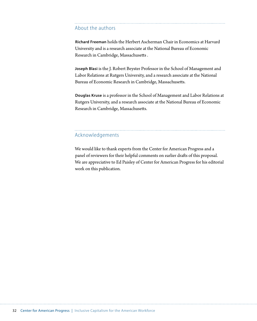#### <span id="page-37-0"></span>About the authors

**Richard Freeman** holds the Herbert Ascherman Chair in Economics at Harvard University and is a research associate at the National Bureau of Economic Research in Cambridge, Massachusetts .

**Joseph Blasi** is the J. Robert Beyster Professor in the School of Management and Labor Relations at Rutgers University, and a research associate at the National Bureau of Economic Research in Cambridge, Massachusetts.

**Douglas Kruse** is a professor in the School of Management and Labor Relations at Rutgers University, and a research associate at the National Bureau of Economic Research in Cambridge, Massachusetts.

#### Acknowledgements

We would like to thank experts from the Center for American Progress and a panel of reviewers for their helpful comments on earlier drafts of this proposal. We are appreciative to Ed Paisley of Center for American Progress for his editorial work on this publication.